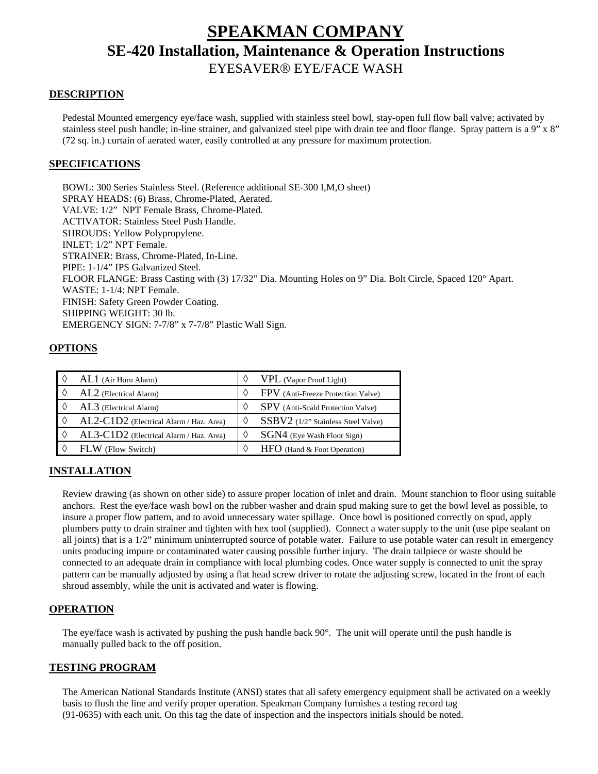# **SPEAKMAN COMPANY SE-420 Installation, Maintenance & Operation Instructions**

## EYESAVER® EYE/FACE WASH

#### **DESCRIPTION**

 Pedestal Mounted emergency eye/face wash, supplied with stainless steel bowl, stay-open full flow ball valve; activated by stainless steel push handle; in-line strainer, and galvanized steel pipe with drain tee and floor flange. Spray pattern is a 9" x 8" (72 sq. in.) curtain of aerated water, easily controlled at any pressure for maximum protection.

### **SPECIFICATIONS**

 BOWL: 300 Series Stainless Steel. (Reference additional SE-300 I,M,O sheet) SPRAY HEADS: (6) Brass, Chrome-Plated, Aerated. VALVE: 1/2" NPT Female Brass, Chrome-Plated. ACTIVATOR: Stainless Steel Push Handle. SHROUDS: Yellow Polypropylene. INLET: 1/2" NPT Female. STRAINER: Brass, Chrome-Plated, In-Line. PIPE: 1-1/4" IPS Galvanized Steel. FLOOR FLANGE: Brass Casting with (3) 17/32" Dia. Mounting Holes on 9" Dia. Bolt Circle, Spaced 120° Apart. WASTE: 1-1/4: NPT Female. FINISH: Safety Green Powder Coating. SHIPPING WEIGHT: 30 lb. EMERGENCY SIGN: 7-7/8" x 7-7/8" Plastic Wall Sign.

#### **OPTIONS**

| $AL1$ (Air Horn Alarm)                  | <b>VPL</b> (Vapor Proof Light)           |
|-----------------------------------------|------------------------------------------|
| AL2 (Electrical Alarm)                  | FPV (Anti-Freeze Protection Valve)       |
| AL3 (Electrical Alarm)                  | <b>SPV</b> (Anti-Scald Protection Valve) |
| AL2-C1D2 (Electrical Alarm / Haz. Area) | SSBV2 (1/2" Stainless Steel Valve)       |
| AL3-C1D2 (Electrical Alarm / Haz. Area) | SGN4 (Eye Wash Floor Sign)               |
| FLW (Flow Switch)                       | HFO (Hand & Foot Operation)              |

## **INSTALLATION**

Review drawing (as shown on other side) to assure proper location of inlet and drain. Mount stanchion to floor using suitable anchors. Rest the eye/face wash bowl on the rubber washer and drain spud making sure to get the bowl level as possible, to insure a proper flow pattern, and to avoid unnecessary water spillage. Once bowl is positioned correctly on spud, apply plumbers putty to drain strainer and tighten with hex tool (supplied). Connect a water supply to the unit (use pipe sealant on all joints) that is a 1/2" minimum uninterrupted source of potable water. Failure to use potable water can result in emergency units producing impure or contaminated water causing possible further injury. The drain tailpiece or waste should be connected to an adequate drain in compliance with local plumbing codes. Once water supply is connected to unit the spray pattern can be manually adjusted by using a flat head screw driver to rotate the adjusting screw, located in the front of each shroud assembly, while the unit is activated and water is flowing.

#### **OPERATION**

The eye/face wash is activated by pushing the push handle back  $90^\circ$ . The unit will operate until the push handle is manually pulled back to the off position.

#### **TESTING PROGRAM**

 The American National Standards Institute (ANSI) states that all safety emergency equipment shall be activated on a weekly basis to flush the line and verify proper operation. Speakman Company furnishes a testing record tag (91-0635) with each unit. On this tag the date of inspection and the inspectors initials should be noted.